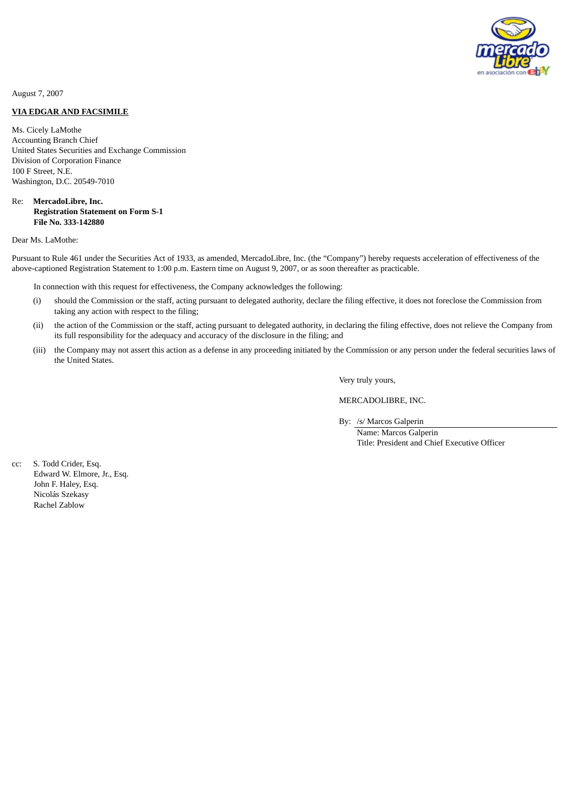

August 7, 2007

## **VIA EDGAR AND FACSIMILE**

Ms. Cicely LaMothe Accounting Branch Chief United States Securities and Exchange Commission Division of Corporation Finance 100 F Street, N.E. Washington, D.C. 20549-7010

## Re: **MercadoLibre, Inc. Registration Statement on Form S-1 File No. 333-142880**

#### Dear Ms. LaMothe:

Pursuant to Rule 461 under the Securities Act of 1933, as amended, MercadoLibre, Inc. (the "Company") hereby requests acceleration of effectiveness of the above-captioned Registration Statement to 1:00 p.m. Eastern time on August 9, 2007, or as soon thereafter as practicable.

In connection with this request for effectiveness, the Company acknowledges the following:

- (i) should the Commission or the staff, acting pursuant to delegated authority, declare the filing effective, it does not foreclose the Commission from taking any action with respect to the filing;
- (ii) the action of the Commission or the staff, acting pursuant to delegated authority, in declaring the filing effective, does not relieve the Company from its full responsibility for the adequacy and accuracy of the disclosure in the filing; and
- (iii) the Company may not assert this action as a defense in any proceeding initiated by the Commission or any person under the federal securities laws of the United States.

Very truly yours,

MERCADOLIBRE, INC.

By: /s/ Marcos Galperin

Name: Marcos Galperin Title: President and Chief Executive Officer

cc: S. Todd Crider, Esq. Edward W. Elmore, Jr., Esq. John F. Haley, Esq. Nicolás Szekasy Rachel Zablow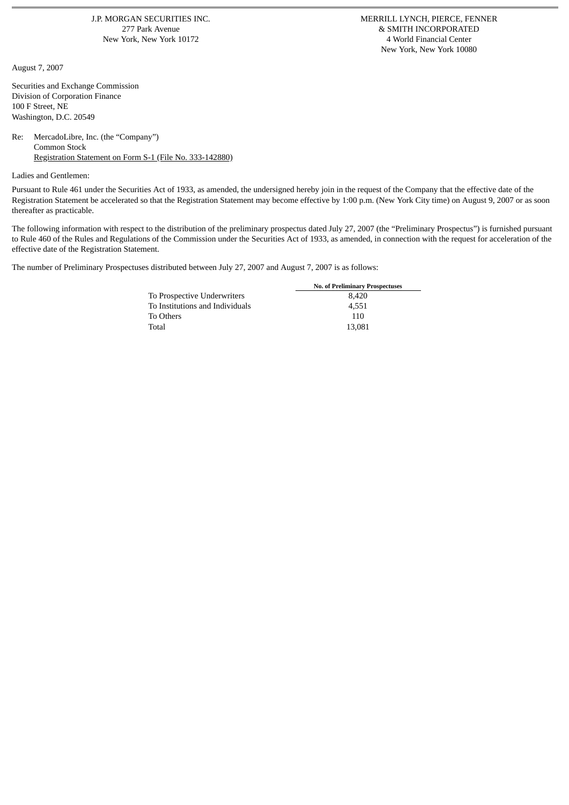J.P. MORGAN SECURITIES INC. MERRILL LYNCH, PIERCE, FENNER New York, New York 10172

August 7, 2007

Securities and Exchange Commission Division of Corporation Finance 100 F Street, NE Washington, D.C. 20549

### Re: MercadoLibre, Inc. (the "Company") Common Stock Registration Statement on Form S-1 (File No. 333-142880)

Ladies and Gentlemen:

Pursuant to Rule 461 under the Securities Act of 1933, as amended, the undersigned hereby join in the request of the Company that the effective date of the Registration Statement be accelerated so that the Registration Statement may become effective by 1:00 p.m. (New York City time) on August 9, 2007 or as soon thereafter as practicable.

The following information with respect to the distribution of the preliminary prospectus dated July 27, 2007 (the "Preliminary Prospectus") is furnished pursuant to Rule 460 of the Rules and Regulations of the Commission under the Securities Act of 1933, as amended, in connection with the request for acceleration of the effective date of the Registration Statement.

The number of Preliminary Prospectuses distributed between July 27, 2007 and August 7, 2007 is as follows:

|                                 | <b>No. of Preliminary Prospectuses</b> |
|---------------------------------|----------------------------------------|
| To Prospective Underwriters     | 8.420                                  |
| To Institutions and Individuals | 4.551                                  |
| To Others                       | 110                                    |
| Total                           | 13.081                                 |

277 Park Avenue **8 August 277 Park Avenue** 277 Park Avenue **& SMITH INCORPORATED**<br>2012 **277 Park Avenue 2016** 2017 2022 2023 2024 2024 2024 2024 2022 2023 New York, New York 10080